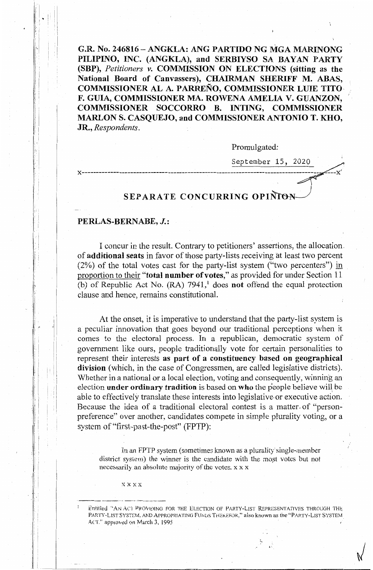G.R. No. 246816 - ANGKLA: ANG PARTIDO NG MGA MARINONG **PILIPINO, INC. (ANGKLA), and SERBIYSO SA BAYAN PARTY (SBP),** *Petitioners v.* **COMMISSION ON ELECTIONS (sitting as the National Board of Canvassers), CHAIRMAN SHERIFF M. ABAS, COMMISSIONER AL A. PARRENO, COMMISSIONER LUIE TITO-F. GUIA, COMMISSIONER MA. ROWENA AMELIA V. GUANZON, COMMISSIONER SOCCORRO B. INTING, COMMISSIONER MARLON S. CASQUEJO, and COMMISSIONER ANTONIO T. KHO, JR.,** *Respondents.* 

Promulgated:

September 15, 2020

**x-----------------------------------------------------------------------------------**

# **SEPARATE CONCURRING OPINION**

### **PERLAS-BERNABE, J.:**

11 ~ ! I !

:· I

J'jc

1,-

I

I I i I I

'(  $\parallel$  . It I ! ! :  $\cdot$  |  $\Box$ 

I concur in the result. Contrary to petitioners' assertions, the allocation. of **additional seats** in favor of those party-lists receiving at least two percent  $(2\%)$  of the total votes cast for the party-list system ("two percenters") in proportion to their **"total number of votes,"** as provided for under Section 11 (b) of Republic Act No. (RA) 7941, 1 does **not** offend the equal protection clause and hence, rernains constitutional.

At the onset, it is imperative to understand that the party-list system is a peculiar innovation that goes beyond our traditional perceptions when it comes to the electoral process. In a republican, democratic system of government like ours, people traditionally vote for certain personalities to represent their interests **as part of a constituency based on geographical division** (which, in the case of Congressmen, are called legislative districts). Whether in a national or a local election, voting and consequently, winning an election **under ordinary tradition** is based on **who** the people believe will, be able to effectively translate these interests into legislative or executive action. Because the idea of a traditional electoral contest is a matter. of "personpreference" over another, candidates compete in simple plurality voting, or a system of "first-past-the-post" (FPTP):

In an FPTP system (sometimes known as a plurality single-member district system) the winner is the candidate with the most votes but not necessarily an absolute majority of the votes. x x x

xxxx

---·-··--·•--'·'· \_\_\_\_\_\_\_\_\_\_\_\_ ,\_,\_,\_

 $\sqrt{2}$ 

Entitled "AN ACI PROVIDING FOR THE ELECTION OF PARTY-LIST REPRESENTATIVES THROUGH THE PARTY-LIST SYSTEM, AND APPROPRIATING FUNDS THEREFOR," also known as the "PARTY-LIST SYSTEM ACT." approved on March 3, 1995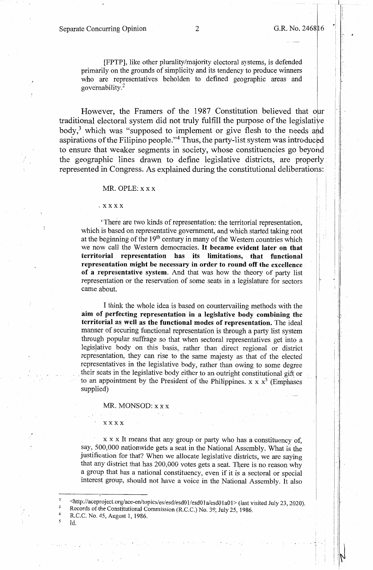## Separate Concurring Opinion 2 G.R. No. 2468 16

 $\cdot$  ,  $\cdot$   $\cdot$ 

[FPTP], like other plurality/majority electoral systems, is defended primarily on the grounds of simplicity and its tendency to produce winners who are representatives beholden to defined geographic areas and governability. <sup>2</sup>

However, the Framers of the 1987 Constitution believed that our traditional electoral system did not truly fulfill the purpose of the legislative body, $3$  which was "supposed to implement or give flesh to the needs and aspirations of the Filipino people."<sup>4</sup> Thus, the party-list system was introduced to ensure that weaker segments in society, whose constituencies go beyond the geographic lines drawn to define legislative districts, are properly represented in Congress. As explained during the constitutional deliberations: ·

#### MR. OPLE:  $X$  X X

#### .xxxx

'There are two kinds of representation: the territorial representation, which is based on representative government, and which started taking root at the beginning of the  $19<sup>th</sup>$  century in many of the Western countries which we now call the Western democracies. **It became evident later on that territorial representation has its limitations, that functional representation might be necessary in order to round off the excellence of a representative system.** And that was how the theory of party list representation or the reservation of some seats in a legislature for sectors came about.

I think the whole idea is based on countervailing methods with the **aim of perfecting representation in a legislative body combining the territorial as well as the functional modes of representation.** The ideal manner of securing functional representation is through a party list system through popular suffrage so that when sectoral representatives get into a legislative body on this basis, rather than direct regional or district representation, they can rise to the same majesty as that of the elected representatives in the legislative body, rather than owing to some degree their seats in the legislative body either to an outright constitutional gift or to an appointment by the President of the Philippines.  $x \times x^5$  (Emphases supplied)

MR. MONSOD: x x x

xxxx

 $x \times x$  It means that any group or party who has a constituency of, say, 500,000 nationwide gets a seat in the National Assembly. What is the justification for that? When we allocate legislative districts, we are saying that any district that has 200,000 votes gets a seat. There is no reason why a group that has a national constituency, even if it is a sectoral or special interest group, should not have a voice in the National Assembly. It also

<http://aceprojectorg/ace-en/topics/es/esd/esdO 1/esd0 1 a/esd0 1 a0 l> (last visited July 23, 2020). Records of.the Constitutional Commission (R.C.C.) No. 39, July 25, 1986. R.C.C. No. 45, August 1, 1986.

1d.

2

4 *5*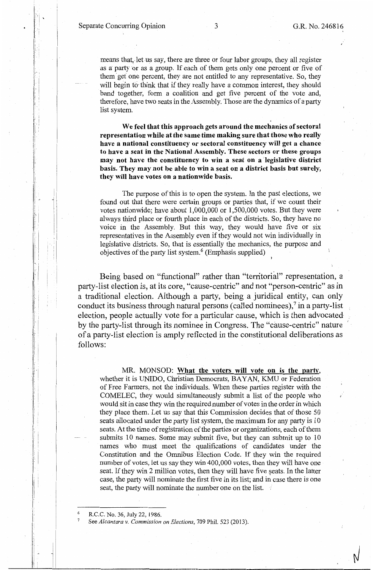Separate Concurring Opinion 3 G.R. No. 246816

 $\mathbf{L}$ 

1\_·:

: I· :j ļ.

> $\vdash$  | I i

11  $\mathbb{R}^n \cup \mathbb{R}^n$ 

 $\cdot$  !

means that, let us say, there are three or four labor groups, they all register as a party or as a group. If each of them gets only one percent or five of them get one percent, they are not entitled to any representative. So, they will begin to think that if they really have a common interest, they should band together, form a coalition and get five percent of the vote and, therefore, have two seats in the Assembly. Those are the dynamics of a party list system.

' **We feel that this approach gets around the mechanics of sectoral representation while at the same time making sure that those who really have a national constituency or sectoral constituency will get a chance to have a seat in the National Assembly. These sectors or these groups may not have the constituency to win a seat on a legislative district basis. They may not be able to win a seat on a district basis but surely, they will have votes on a nationwide basis.** 

The purpose of this is to open the system. In the past elections, we found out that there were certain groups or parties that, if we count their votes nationwide; have about 1,000,000 or 1,500,000 votes. But they were always third place or fourth place in each of the districts. So, they have no voice in the Assembly. But this way, they would have five or six representatives in the Assembly even if they would not win individually in legislative districts. So, that is essentially the mechanics, the purpose and objectives of the party list system.<sup>6</sup> (Emphasis supplied)

Being based on "functional" rather than "territorial" representation, a party-list election is, at its core, "cause-centric" and not "person-centric" as in a traditional election. Although a party, being a juridical entity, can only conduct its business through natural persons (called nominees), $\frac{1}{2}$  in a party-list election, people actually vote for a particular cause, which is then advocated by the party-list through its nominee in Congress. The "cause-centric" nature of a party-list election is amply reflected in the constitutional deliberations as follows:

MR. MONSOD: **What the voters will vote on is the party,**  whether it is UNIDO, Christian Democrats, BAYAN, KMU or Federation of Free Farmers, not the individuals. When these parties register with the COMELEC, they would simultaneously submit a list of the people who would sit in case they win the required number of votes in the order in which they place them. Let us say that this Commission decides that of those 50 seats allocated under the party list system, the maximum for any party is 10 seats. At the time ofregistration of the parties or organizations, each of them submits 10 names. Some may submit five, but they can submit up to 10 names who must meet the qualifications of candidates under the Constitution and the Omnibus Election Code. If they win the required number of votes, let us say they win 400,000 votes, then they will have one seat. If they win 2 million votes, then they will have five seats. In the latter case, the party will nominate the first five in its list; and in case there is one seat, the party will nominate the number one on the list.

6 R.C.C. No. 36, July 22, 1986.

7

See *Alcantara v. Commission on Elections,* 709 Phil. 523 (2013).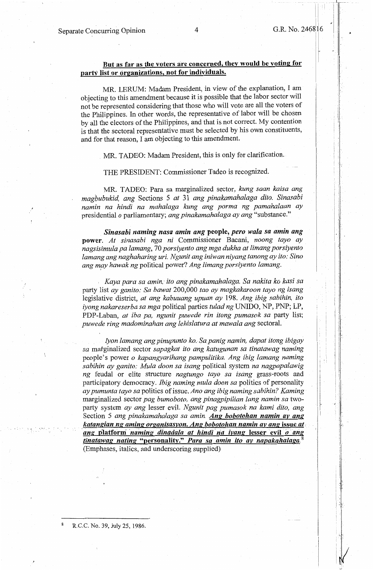!

## **But as far as the voters are concerned; they would be voting for party list or organizations, not for individuals.**

MR. LERUM: Madam President, in view of the explanation, I am objecting to this amendment because it is possible that the labor sector will not be represented considering that those who will vote are all the voters of the Philippines. In other words, the representative of labor will be chosen by all the electors of the Philippines, and that is not correct. My contention is that the sectoral representative must be selected by his own constituents, and for that reason, I am objecting to this amendment.

MR. TADEO: Madam President, this is only for clarification.

THE PRESIDENT: Commissioner Tadeo is recognized.

MR. TADEO: Para sa marginalized sector, *kung saan kaisa ang magbubukid, ang* Sections 5 *at* 3 I *ang pinakamahalaga dito. Sinasabi namin na hindi na mahalaga kung ang porma ng pamahalaan ay*  presidential *o* parliamentary; *ang pinakamahalaga ay ang* "substance."

*Sinasabi naming nasa amin ang* **people,** *pero wala sa amin ang*  **power.** *At sinasabi nga ni* Commissioner Bacani, *noong tayo ay nagsisimula pa lamang,* 70 *porsiyento ang mga dukha at limang porsiyento lamang ang naghaharing uri. Ngunit ang iniwan niyang tanong ay ito: Sino*  ang may hawak ng political power? Ang limang porsiyento lamang.

*Kaya para sa amin,* · *ito ang pinakamahalaga. Sa nakita ko kasi sa*  party list *ay ganito: Sa bawat* 200,000 *tao ay magkakaroon tayo ng isang*  legislative district, *at ang kabuuang upuan ay* 198. *Ang ibig sabihin, ito iyong nakareserba sa mga* political parties *tulad ng* UNIDO, NP, PNP; LP, PDP-Laban, *at iba pa, ngunit puwede rin itong pumasok sa* party list; *puwede ring madominahan ang lehislatura at mawala ang* sectoral.

Iyon lamang ang pinupunto ko. Sa panig namin, dapat itong ibigay *sa* matginalized sector *sapagkat ito ang katugunan sa tinatawag naming*  people's power *o kapangyarihang pampulitika. Ang ibig lamang naming sabihin ay ganito: Mula doon sa isang* political system *na nagpapalawig ng* feudal or elite structure *nagtungo tayo sa isang* grass-roots and participatory democracy. *Ibig naming mula doon sa* politics of personality *ay pumunta tayo sa* politics of issue. *Ano ang ibig naming sabihin? Kaming*  marginalized sector pag bumoboto, ang pinagpipilian lang namin sa twoparty system *ay ang* lesser evil. *Ngunit pag pumasok na kami dito, ang*  Section 5 *ang pinakamahalaga sa amin. Ang bobotohan namin av ang*  . *katangian ng aming organisasyon. Ang bobotohan namin av ang* **issue** *at, ang* **platform** *·naming dinadala at hindi* . *na iyang* **lesser evil** . *o* . *ang tinatawag nating* **"personality."** *Para sa amin ito av napakahalaga.* <sup>8</sup> (Emphases, italics, and underscoring supplied)

R.C.C. No. 39, July 25, 1986.

 $\sim$  .  $\sim$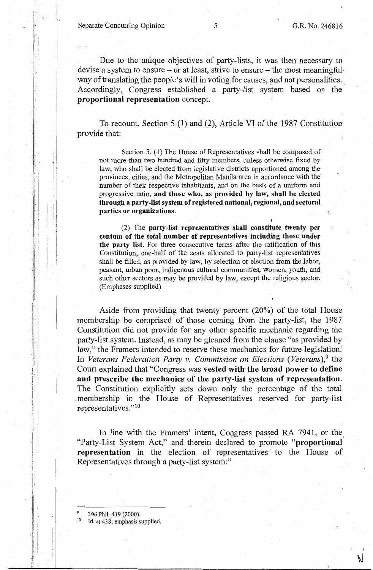Separate Concurring Opinion 5 G.R. No. 246816

''

 $\sqrt{2}$ 

Due to the unique objectives of party-lists, it was then necessary to devise a system to ensure – or at least, strive to ensure – the most meaningful way of translating the people's will in voting for causes, and not personalities. Accordingly, Congress established a party-list system based on the **proportional representation** concept.

To recount, Section 5 (1) and (2), Article VI of the 1987 Constitution provide that:

Section 5. (1) The House of Representatives shall be composed of not more than two hundred and fifty members, unless otherwise fixed by law, who shall be elected from legislative districts apportioned among the provinces, cities, and the Metropolitan Manila area in accordance with the number of their respective inhabitants, and on the basis of a uniform and progressive ratio, **and those who, as provided by law, shall be elected through a party-list system of registered national, regional, and sectoral parties or organizations.** 

(2) The **party-list representatives shall constitute twenty per centum of the total number of representatives including those under the party list.** For three consecutive terms after the ratification of this Constitution, one-half of the seats allocated to party-list representatives shall be filled, as provided by law, by selection or election from the labor, peasant, urban poor, indigenous cultural communities, women, youth, and such other sectors as may be provided by law, except the religious sector. (Emphases supplied)

Aside from providing that twenty percent (20%) of the total House membership be comprised of those coming from the party-list, the 1987 Constitution did not provide for any other specific mechanic regarding the party-list system. Instead, as may be gleaned from the clause "as provided by law," the Framers intended to reserve these mechanics for future legislation. In *Veterans Federation Party v. Commission on Elections (Veterans)*,<sup>9</sup> the Court explained that "Congress was **vested with the broad power to define and prescribe the mechanics of the party-list system of representation.**  The Constitution explicitly sets down only the percentage of the total \_membership in the House of Representatives reserved for party-list representatives."<sup>10</sup>

In line with the Framers' intent, Congress passed RA 7941, or the "Party-List System Act," and therein declared to promote **"proportional representation** in the election of representatives *:'* to the House of Representatives through a party-list system:"

<sup>&</sup>lt;sup>9</sup> 396 Phil. 419 (2000).<br><sup>10</sup> Id. at 438; emphasis supplied.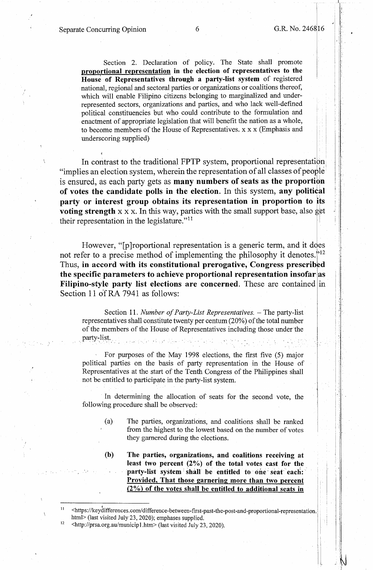II

I: I  $\parallel$  .

:1 ii j•i 1 il.  $\blacksquare$ 

Section 2. Declaration of policy. The State shall promote **proportional representation in the election** of **representatives to the**  House of Representatives through a party-list system of registered national, regionai and sectoral parties or organizations or coalitions thereof, which will enable Filipino citizens belonging to marginalized and underrepresented sectors, organizations and parties, and who lack well-defined political constituencies but who could contribute to the formulation and enactment of appropriate legislation that will benefit the nation as a whole, to become members of the House of Representatives. x x x (Emphasis and underscoring supplied)

In contrast to the traditional FPTP system, proportional representation "implies an election system, wherein the representation of all classes of people is ensured, as each party gets as **many numbers of seats as the proportion of votes the candidate polls in the election.** In this system, **any political party or interest group obtains its representation in proportion to its voting strength**  $x \times x$ . In this way, parties with the small support base, also get their representation in the legislature." $11$ 1

However, "[p]roportional representation is a generic term, and it does not refer to a precise method of implementing the philosophy it denotes.<sup> $12$ </sup> Thus, **in accord with its constitutional prerogative, Congress prescribed**  the specific parameters to achieve proportional representation insofar as **Filipino-style party list elections are concerned.** These are contained in Section 11 of RA 7941 as follows:

Section 11. *Number of Party-List Representatives.* - The party-list representatives shall constitute twenty per centum (20%) of the total number of the members of the House of Representatives including those under the party-list. الموادي والمتحادين

For purposes of the May 1998 elections, the first five (5) major political parties on the basis of party representation in the House of Representatives at the start of the Tenth Congress of the Philippines shall not be entitled to participate in the party-list system.

In determining the allocation of seats for the second vote, the following procedure shall be observed:

> (a) The parties, organizations, and coalitions shall be ranked from the highest to the lowest based on the number of votes they garnered during the elections.

> **(b) The parties, organizations, and! coalitions receiving at least two percent (2%) of the total votes cast for the**  party-list system shall be entitled to one seat each: **Provided, That those garnering more than two percent {2%) of the votes shall be entitled to additional seats in**

I I <https :/ /keydifferences. com/ difference-between-first-past-the-post-and-proportional-representation. html> (last visited July 23, 2020); emphases supplied.<br><sup>12</sup> <http://prsa.org.au/municip1.htm> (last visited July 23, 2020).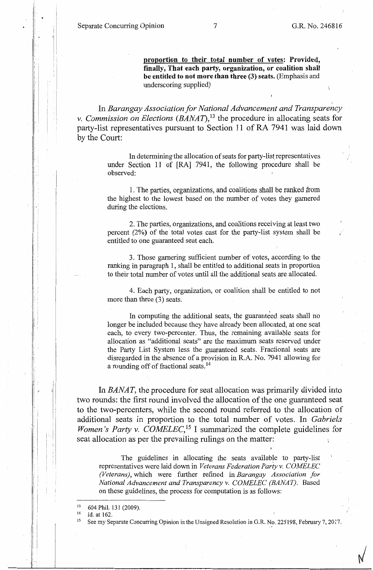**proportion to their total number of votes: Provided, finally, That each party, organization, or coalition shall be entitled to not more than three (3) seats.** (Emphasis and underscoring supplied)

) In *Barangay Association for National Advancement and Transparency v. Commission on Elections (BANAT)*,<sup>13</sup> the procedure in allocating seats for party-list representatives pursuant to Section 11 of RA 7941 was laid down by the Court:

> In determining the allocation of seats for party-list representatives under Section 11 of [RA] 7941, the following procedure shall be observed:

> 1. The parties, organizations, and coalitions shall be ranked from the highest to the lowest based on the number of votes they garnered during the elections.

> 2. The parties, organizations, and coalitions receiving at least two percent (2%) of the total votes cast for the party-list system shall be entitled to one guaranteed seat each.

> 3. Those garnering sufficient number of votes, according to the ranking in paragraph 1, shall be entitled to additional seats in proportion to their total number of votes until all the additional seats are allocated.

> 4. Each party, organization, or coalition shall be entitled to not more than three (3) seats.

> In computing the additional seats, the guaranteed seats shall no longer be included because they have already been allocated, at one seat each, to every two-percenter. Thus, the remaining available seats for allocation as "additional seats" are the maximum seats reserved under the Party List System less the guaranteed seats. Fractional seats are disregarded in the absence of a provision in R.A. No. 7941 allowing for a rounding off of fractional seats. <sup>14</sup>

In *BANAT,* the procedure for seat allocation was primarily divided into two rounds: the first round involved the allocation of the one guaranteed seat to the two-percenters, while the second round referred to the allocation of additional seats in proportion to the total number of votes. In *Gabriela Women's Party v. COMELEC*,<sup>15</sup> I summarized the complete guidelines for seat allocation as per the prevailing rulings on the matter:

The guidelines in allocating the seats available to party-list representatives were laid down in *Veterans Federation Party v. COMELEC (Veterans),* which were further refined in *Barangay Association for National Advancement and Transparency v. COMELEC (BANAT).* Based on these guidelines, the process for computation is as follows:

I ,  $\blacksquare$  $\mathbf{I}$ ,.

i ' I·

 $13$  604 Phil. 131 (2009).<br>
14 Id. at 162.

See my Separate Concurring Opinion in the Unsigned Resolution in G.R. No. 225198, February 7, 2017.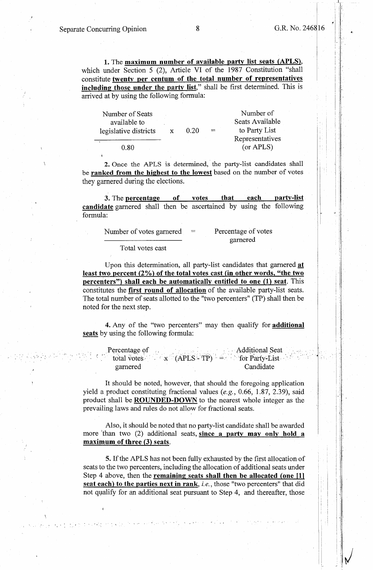~ I

I' I :,I

**1.** The **maximum number of available party list seats (APLS),**  which under Section 5 (2), Article VI of the 1987 Constitution "shall constitute **twenty per centum of the total number of. representatives including those under the party list,"** shall be first determined. This is arrived at by using the following formula:

| Number of Seats<br>available to |   |      |     | Number of<br>Seats Available |
|---------------------------------|---|------|-----|------------------------------|
| legislative districts           | X | 0.20 | $=$ | to Party List                |
| 0.80                            |   |      |     | Representatives<br>(or APLS) |

2. Once the APLS is determined, the party-list candidates shall be **ranked from the highest to the lowest** based on the number of votes they garnered during the elections.

**3.** The **percentage of votes that each party-list candidate** garnered shall then be ascertained by using the following formula:

| Number of votes garnered | $=$ | Percentage of votes |
|--------------------------|-----|---------------------|
|                          |     | garnered            |

Total votes cast

. ~. *-:* 

Upon this determination, all party-list candidates that garnered **at**  least two percent (2%) of the total votes cast (in other words, "the two **percenters") shall each be automatically entitled to one (1) seat.** This constitutes the **first round of allocation** of the available party-list seats. The total number of seats allotted to the "two percenters" (TP) shall then be noted for the next step.

**4.** Any of the "two percenters" may then qualify for **additional seats** by using the following formula:

| Percentage of | <b>Example 3</b> Additional Seat                        |
|---------------|---------------------------------------------------------|
|               | total votes $x^{\text{ }}$ (APLS - TP) = for Party-List |
| garnered      | Candidate                                               |

It should be noted, however, that should the foregoing application yield a product constituting fractional values *(e.g.,* 0.66, 1.87, 2.39), said product shall be **ROUNDED-DOWN** to the nearest whole integer as the prevailing laws and rules do not allow for fractional seats.

Also, it should be noted that no party-list candidate shall be awarded more 'than two (2) additional seats, **since a party may only hold a maximum of three {3) seats.** 

**5.** If the APLS has not been fully exhausted by the first allocation of seats to the two percenters, including the allocation of additional seats under Step 4 above, then the **remaining seats shall then be allocated {one [11 seat each) to the parties next in rank,** *i.e.,* those "two percenters" that did not qualify for an additional seat pursuant to Step 4, and thereafter, those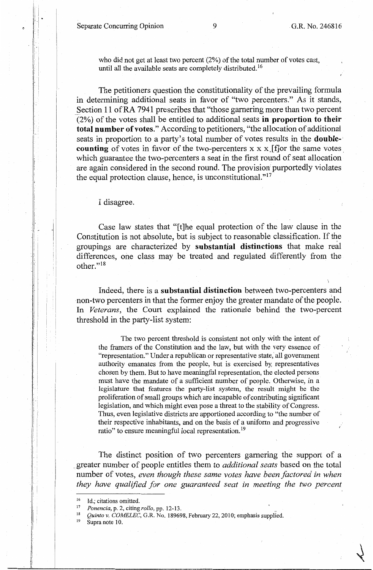Separate Concurring Opinion 9 G.R. No. 246816

who did not get at least two percent (2%) of the total number of votes cast, until all the available seats are completely distributed.<sup>16</sup>

The petitioners question the constitutionality of the prevailing formula in determining additional seats in favor of "two percenters." As it stands, Section 11 of RA 7941 prescribes that "those garnering more than two percent (2%) of the votes shall be entitled to additional seats **in proportion to their total number of votes."** According to petitioners, "the allocation of additional seats in proportion to a party's total number of votes results in the **double-' counting** of votes in favor of the two-percenters x x x. [f]or the same votes. which guarantee the two-percenters a seat in the first round of seat allocation are again considered in the second round. The provision purportedly violates the equal protection clause, hence, is unconstitutional."<sup>17</sup>

I disagree.

Case law states that "[t]he equal protection of the law clause in the Constitution is not absolute, but is subject to reasonable classification. If the groupings are characterized by **substantial distinctions** that make real differences, one class may be treated and regulated differently from the other."18

Indeed, there is a **substantial distinction** between two-percenters and non-two percenters in that the former enjoy the greater mandate of the people. In *Veterans,* the Court explained the rationale behind the two-percent threshold in the party-list system:

The two percent threshold is consistent not only with the intent of the framers of the Constitution and the law, but with the very essence of "representation." Under a republican or representative state, all government authority emanates from the people, but is exercised by; representatives chosen by them. But to have meaningful representation, the elected persons must have the mandate of a sufficient number of people. Otherwise, in a legislature that features the party-list system, the result might be the proliferation of small groups which are incapable of contributing significant legislation, and which might even pose a threat to the stability of Congress. Thus, even legislative districts are apportioned according to "the number of their respective inhabitants, and on the basis of a uniform and progressive ratio" to ensure meaningful local representation.<sup>19</sup>

The distinct position of two percenters garnering the support of a \_ greater number of people entitles them to *additional seats* based on the total number of votes, *even though these same votes have been factored in when they have qualified for one guaranteed seat in meeting the two percent* 

i· i

<sup>16</sup> Id.; citations omitted.<br>
17 *Ponencia*, p. 2, citing *rollo*, pp. 12-13.<br>
<sup>18</sup> *Quinto v. COMELEC*, G.R. No. 189698, February 22, 2010; emphasis supplied.<br>
<sup>19</sup> Supra note 10.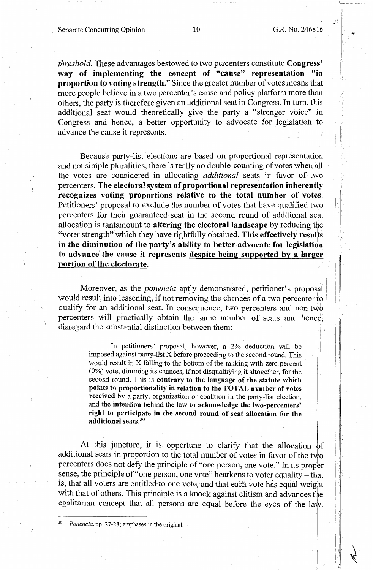i

 $\vert \cdot \vert$ 

., .

..

, I I I

*threshold*. These advantages bestowed to two percenters constitute **Congress'** way of implementing the concept of "cause" representation "in **proportion to voting strength."** Since the greater number of votes means that more people believe in a two percenter's cause and policy platform more than others, the party is therefore given an additional seat in Congress. In turn, this additional seat would theoretically give the party a "stronger voice" in Congress and hence, a better opportunity to advocate for legislation to advance the cause it represents.

Because party-list elections are based on proportional representation and not simple pluralities, there is really no double-counting of votes when all the votes are considered in allocating *additional* seats in favor of two percenters. **The electoral system of proportional representation inherently**  recognizes voting proportions relative to the total number of votes. Petitioners' proposal to exclude the number of votes that have qualified two percenters for their guaranteed seat in the second round of additional seat allocation is tantamount to **altering the electoral landscape** by reducing the "voter strength" which they have rightfully obtained. **This effectively results in the diminution of the party's ability to better advocate for legislation**  to advance the cause it represents despite being supported by a larger **portion of the electorate.** 

Moreover, as the *ponencia* aptly demonstrated, petitioner's proposal would result into lessening, if not removing the chances of a two percenter to qualify for an additional seat. In consequence, two percenters and non-two percenters will practically obtain the same number of seats and hence, disregard the substantial distinction between them:

> In petitioners' proposal, however, a 2% deduction will be imposed against party-list X before proceeding to the second round. This would result in X falling to the bottom of the ranking with zero percent (0%) vote, dimming its chances, if not disqualifying it altogether, for the second round. This is **contrary to the language of the statute which points to proportionality in relation to the TOTAL number of votes received** by a party, organization or coalition in the party-list election, and the **intention** behind the law **to acknowledge the two-percenters' right to participate in the second round of seat allocation for the additional seats.<sup>20</sup>**

At this juncture, it is opportune to clarify that the allocation of additional seats in proportion to the total number of votes in favor of the two percenters does not defy the principle of "one person, one vote." In its proper sense, the principle of "one person, one vote" hearkens to voter equality - that is, that all voters are entitled to one vote, and that each vote has equal weight with that of others. This principle is a knock against elitism and advances the egalitarian concept that all persons are equal before the eyes of the law.

<sup>20</sup>*Ponencia,* pp. 27-28; emphases in the original.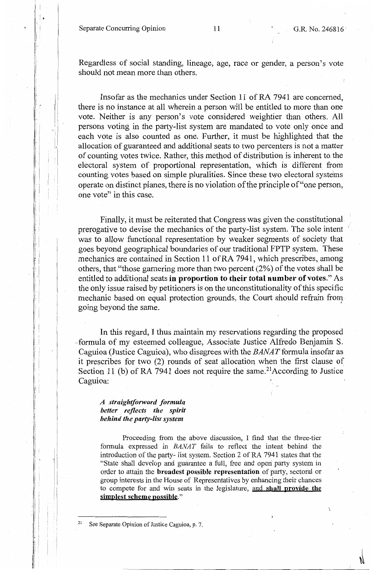Separate Concurring Opinion 11 G.R. No. 246816

Regardless of social standing, lineage, age, race or gender, a person's vote should not mean more than others.

Insofar as the mechanics under Section 11 of RA 7941 are concerned, there is no instance at all wherein a person will be entitled to more than one vote. Neither is any person's vote considered weightier than others. AH persons voting in the party-list system are mandated to vote only once and each vote is also counted as one. Further, it must be highlighted that the allocation of guaranteed and additional seats to two percenters is not a matter of counting votes twice. Rather, this method of distribution is inherent to the electoral system of proportional representation, which is different from counting votes based on simple pluralities. Since these two electoral systems operate on distinct planes, there is no violation of the principle of"one person, one vote" in this case.

Finally, it must be reiterated that Congress was given the constitutional. prerogative to devise the mechanics of the party-list system. The sole intent 1 was to allow functional representation by weaker segments of society that goes beyond geographical boundaries of our traditional FPTP system. These mechanics are contained in Section 11 of RA 7941, which prescribes, among others, that "those garnering more than two percent (2%) of the votes shall be entitled to additional seats **in proportion to their total number of votes."** As the only issue raised by petitioners is on the unconstitutionality of this specific mechanic based on equal protection grounds, the Court should refrain from going beyond the same. '

In this regard, I thus maintain my reservations regarding the proposed --formula of my esteemed colleague, Associate Justice Alfredo Benjamin S. Caguioa (Justice Caguioa), who disagrees with the  $BANAT$  formula insofar as it prescribes for two (2) rounds of seat allocation when the first clause of Section 11 (b) of RA 7941 does not require the same.<sup>21</sup>According to Justice Caguioa:

*A straigltiforward formula better reflects the spirit behind the party-list system* 

' !

:<br>}

I ! l

I

Proceeding from the above discussion, I find that the three-tier formula expressed in *BANAT* fails to reflect the intent behind the introduction of the party- list system. Section 2 of RA 7941 states that the "State shall develop and guarantee a full, free and operi party system in order to attain the **broadest ·possible representation** of party, sectoral or group interests in the House of Representatives by enhancing their chances to compete for and win seats in the legislature, and **shall provide the**  simplest scheme possible."

See Separate Opinion of Justice Caguioa, p. 7.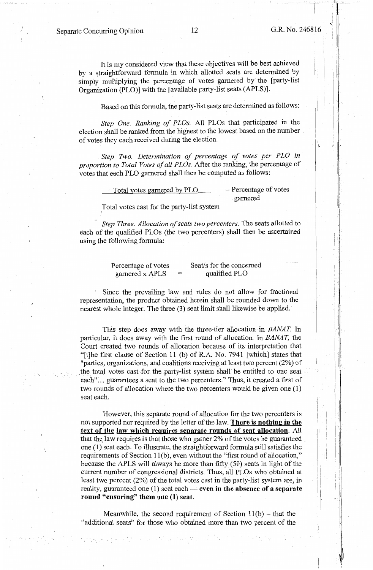i !

I  $\cdot$  . ' i

> ..  $^{\prime}$  . If

It is my considered view that these objectives will be best achieved by a straightforward formula in which allotted seats are determined by simply multiplying the percentage of votes garnered by the [party-list Organization (PLO)] with the [available party-list seats (APLS)].

Based on this formula, the party-list seats are determined as follows:

Step One. Ranking of PLOs. All PLOs that participated in the election shall be ranked from the highest to the lowest based on the number of votes they each received during the election.

*Step Two. Determination of percentage of votes per PLO in proportion to Total Votes of all PLOs.* After the ranking, the percentage of votes that each PLO garnered shall then be computed as follows:

> Total votes garnered by  $PLO$  = Percentage of votes garnered

.Total votes cast for the party-list system

*Step Three. Allocation of seats two percenters.* The seats allotted to each of the qualified PLOs (the two percenters) shall then be ascertained using the following formula:

> Percentage of votes garnered x APLS Seat/s for the concerned qualified PLO

Since the prevailing law and rules do not allow for fractional representation, the product obtained herein shall be rounded down to the nearest whole integer. The three (3) seat limit shall likewise be applied.

This step does away with the three-tier allocation in *BANAT*. In particular, it does away with the first round of allocation. In *BANAT,* the Court created two rounds of allocation because of its interpretation that "[t]he first clause of Section 11 (b) of R.A. No. 7941 [which] states that "parties, organizations, and coalitions receiving at least two percent (2%) of . the. total votes cast for the party-list system shall be entitled to one seat each"... guarantees a seat to the two percenters." Thus, it created a first of two rounds of allocation where the two percenters would be given one (1) seat each.

However, this separate round of allocation for the two percenters is not supported nor required by the letter of the law. **There is nothing in the text of the law which requires separate rounds of seat allocation.** All that the law requires is that those who garner  $2\%$  of the votes be guaranteed one (1) seat each. To illustrate, the straightforward formula still satisfies the requirements of Section 11(b), even without the "first round of allocation," because the APLS will always be more than fifty (50) seats in light of the current number of congressional districts. Thus, all PLOs who obtained at least two percent (2%) of the total votes cast in the party-list system are, in reality, guaranteed one (1) seat each- **even in the absence of a separate round "ensuring" them one** (1) **seat.** 

Meanwhile, the second requirement of Section  $11(b)$  – that the "additional seats" for those who obtained more than two percent of the

ga perantis el sobr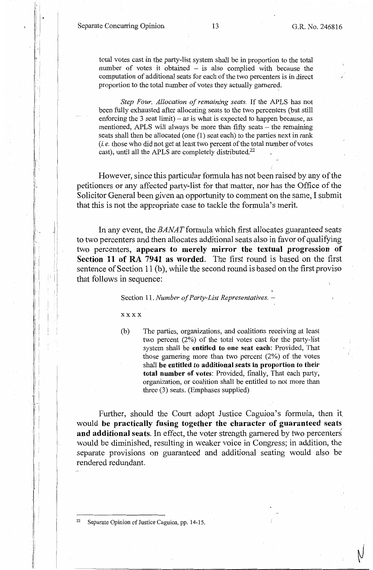$\mathbb{C}$  , I.

·1

I ., '  $\mathbb{I}$  i

'. i

 $\| .$ 

I :  $\vert \cdot \vert$  .

 $\mathbb{F}$ 

 $\cdot$  |

. i - i

total votes cast in the party-list system shall be in proportion to the total number of votes it obtained  $-$  is also complied with because the computation of additional seats for each of the two percenters is in direct proportion to the total number of votes they actually garnered.

*Step Four. Allocation of remaining seats.* If the APLS has not been fully exhausted after allocating seats to the two percenters (but still enforcing the  $3$  seat limit) – as is what is expected to happen because, as mentioned, APLS will always be more than fifty seats – the remaining seats shall then be allocated (one (1) seat each) to the parties next in rank *(i.e.* those who did not get at least two percent of the total number of votes cast), until all the APLS are completely distributed.<sup>22</sup>

However, since this particular formula has not been raised by any of the petitioners or any affected party-list for that matter, nor has the Office of the Solicitor General been given an opportunity to comment on the same, I submit that this is not the appropriate case to tackle the formula's merit.

In any event, the *BANAT* formula which first allocates guaranteed seats to two percenters and then allocates additional seats also in favor of qualifying two percenters, **appears to merely mirror the textual progression of Section 11 of RA 7941 as worded.** The first round is based on the first sentence of Section 11 (b), while the second round is based on the first proviso that follows in sequence:

Section 11. *Number of Party-List Representatives.* -

**xxxx** 

(b) The parties, organizations, and coalitions receiving at least two percent (2%) of the total votes cast for the party-list system shall be **entitled to one seat each:** Provided, That those garnering more than two percent (2%) of the votes shall **be entitled to additional seats** in **proportion to their total number of votes:** Provided, finally, That each party, organization, or coalition shall be entitled to not more than three (3) seats. (Emphases supplied)

Further, should the Court adopt Justice Caguioa's formula, then it, would **be practically fusing together the character of guaranteed seats and additional seats.** In effect, the voter strength garnered by two percenters would be diminished, resulting in weaker voice in Congress; in addition, the separate provisions on guaranteed and additional seating would also be rendered redundant.

Separate Opinion of Justice Caguioa, pp. 14-15.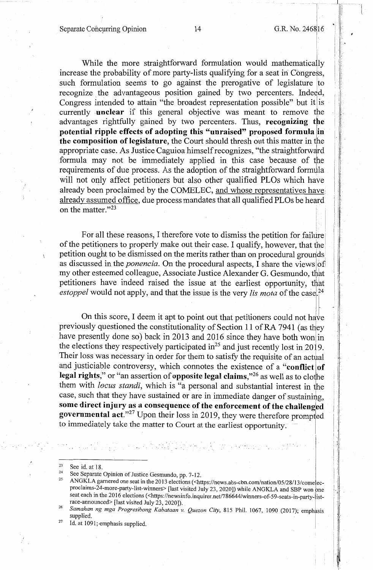$\left\lfloor \frac{1}{2} \right\rfloor$ 

i i I I:  $\mathbf{1}$ 

While the more straightforward formulation would mathematically increase the probability of more party-lists qualifying for a seat in Congress, such formulation seems to go against the prerogative of legislature to recognize the advantageous position gained by two percenters. Indeed, Congress intended to attain "the broadest representation possible" but it is currently **unclear** if this general objective was meant to remove the advantages rightfully gained by two percenters. Thus, **recognizing the potential ripple effects of adopting this "unraised" proposed formula** lin **the composition of legislature,** the Court should thresh out this matter in the appropriate case. As Justice Caguioa himself recognizes, "the straightforward formula may not be immediately applied in this case because of the requirements of due process. As the adoption of the straightforward formula will not only affect petitioners but also other qualified PLOs which have already been proclaimed by the COMELEC, and whose representatives have: already assumed office, due process mandates that all qualified PLOs be heard on the matter."<sup>23</sup>

For all these reasons, I therefore vote to dismiss the petition for failure of the petitioners to properly make out their case. I qualify, however, that the <sup>1</sup> petition ought to be dismissed on the merits rather than on procedural groudds as discussed in the *ponencia*. On the procedural aspects, I share the views of my other esteemed colleague, Associate Justice Alexander G. Gesmundo, that petitioners have indeed raised the issue at the earliest opportunity, that *estoppel* would not apply, and that the issue is the very *lis mota* of the case <sup>24</sup>

On this score, I deem it apt to point out that petitioners could not have previously questioned the constitutionality of Section 11 of RA 7941 (as they have presently done so) back in 2013 and 2016 since they have both won in the elections they respectively participated in<sup>25</sup> and just recently lost in 2019. Their loss was necessary in order for them to satisfy the requisite of an actual and justiciable controversy, which connotes the existence of a "conflict of **legal rights,"** or "an assertion of **opposite legal claims,**"<sup>26</sup> as well as to clothe them with *locus standi*, which is "a personal and substantial interest in the case, such that they have sustained or are in immediate danger of sustaining, some direct injury as a consequence of the enforcement of the challenged governmental act."<sup>27</sup> Upon their loss in 2019, they were therefore prompted to immediately take the matter to Court at the earliest opportunity.

to a bol lock of the non-principal con-

<sup>27</sup> Id. at 1091; emphasis supplied.

<sup>23</sup> See id. at 18.<br>
<sup>24</sup> See Separate Opinion of Justice Gesmundo, pp. 7-12.<br>
<sup>25</sup> ANGKLA garnered one seat in the 2013 elections (<https://news.abs-cbn.com/nation/05/28/13/come ecproclaims-24-more-party-list-winners> [last visited July 23, 2020]) while ANGKLA and SBP won bne seat each in the 2016 elections (<https://newsinfo.inquirer.net/786644/winners-of-59-seats-in-party-list-race-announced> [last visited July 23, 2020]).

<sup>&</sup>lt;sup>26</sup> Samahan ng mga Progresibong Kabataan v. Quezon City, 815 Phil. 1067, 1090 (2017); emphasis supplied. supplied. The contract of the contract of the contract of the contract of the contract of the contract of the contract of the contract of the contract of the contract of the contract of the contract of the contract of the